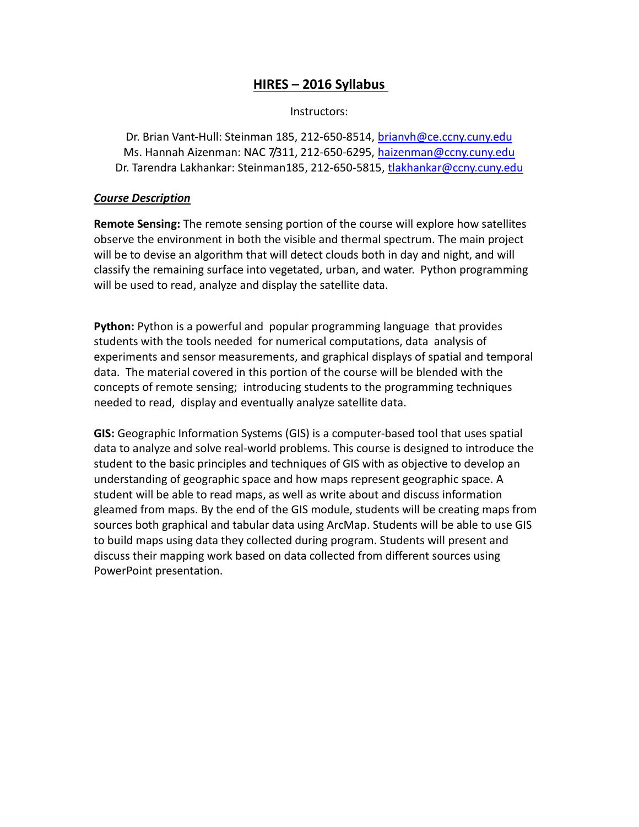# HIRES – 2016 Syllabus

Instructors:

Dr. Brian Vant-Hull: Steinman 185, 212-650-8514, brianvh@ce.ccny.cuny.edu Ms. Hannah Aizenman: NAC 7/311, 212-650-6295, haizenman@ccny.cuny.edu Dr. Tarendra Lakhankar: Steinman185, 212-650-5815, tlakhankar@ccny.cuny.edu

### Course Description

Remote Sensing: The remote sensing portion of the course will explore how satellites observe the environment in both the visible and thermal spectrum. The main project will be to devise an algorithm that will detect clouds both in day and night, and will classify the remaining surface into vegetated, urban, and water. Python programming will be used to read, analyze and display the satellite data.

Python: Python is a powerful and popular programming language that provides students with the tools needed for numerical computations, data analysis of experiments and sensor measurements, and graphical displays of spatial and temporal data. The material covered in this portion of the course will be blended with the concepts of remote sensing; introducing students to the programming techniques needed to read, display and eventually analyze satellite data.

GIS: Geographic Information Systems (GIS) is a computer-based tool that uses spatial data to analyze and solve real-world problems. This course is designed to introduce the student to the basic principles and techniques of GIS with as objective to develop an understanding of geographic space and how maps represent geographic space. A student will be able to read maps, as well as write about and discuss information gleamed from maps. By the end of the GIS module, students will be creating maps from sources both graphical and tabular data using ArcMap. Students will be able to use GIS to build maps using data they collected during program. Students will present and discuss their mapping work based on data collected from different sources using PowerPoint presentation.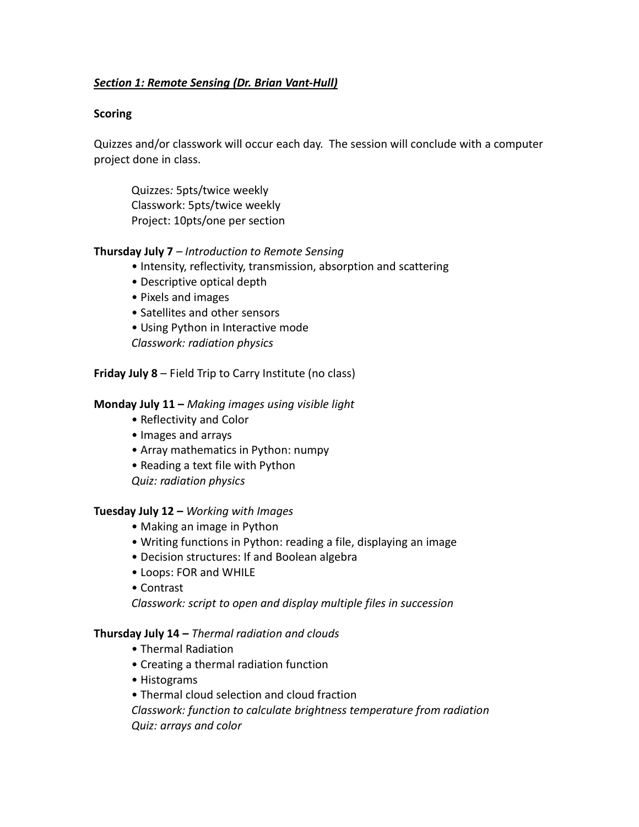# Section 1: Remote Sensing (Dr. Brian Vant-Hull)

#### **Scoring**

Quizzes and/or classwork will occur each day. The session will conclude with a computer project done in class.

Quizzes: 5pts/twice weekly Classwork: 5pts/twice weekly Project: 10pts/one per section

#### **Thursday July 7** – Introduction to Remote Sensing

- Intensity, reflectivity, transmission, absorption and scattering
- Descriptive optical depth
- Pixels and images
- Satellites and other sensors
- Using Python in Interactive mode
- Classwork: radiation physics

Friday July 8 – Field Trip to Carry Institute (no class)

#### Monday July  $11 -$  Making images using visible light

- Reflectivity and Color
- Images and arrays
- Array mathematics in Python: numpy
- Reading a text file with Python
- Quiz: radiation physics

#### Tuesday July 12 - Working with Images

- Making an image in Python
- Writing functions in Python: reading a file, displaying an image
- Decision structures: If and Boolean algebra
- Loops: FOR and WHILE
- Contrast

Classwork: script to open and display multiple files in succession

#### Thursday July 14 - Thermal radiation and clouds

- Thermal Radiation
- Creating a thermal radiation function
- Histograms
- Thermal cloud selection and cloud fraction

Classwork: function to calculate brightness temperature from radiation Quiz: arrays and color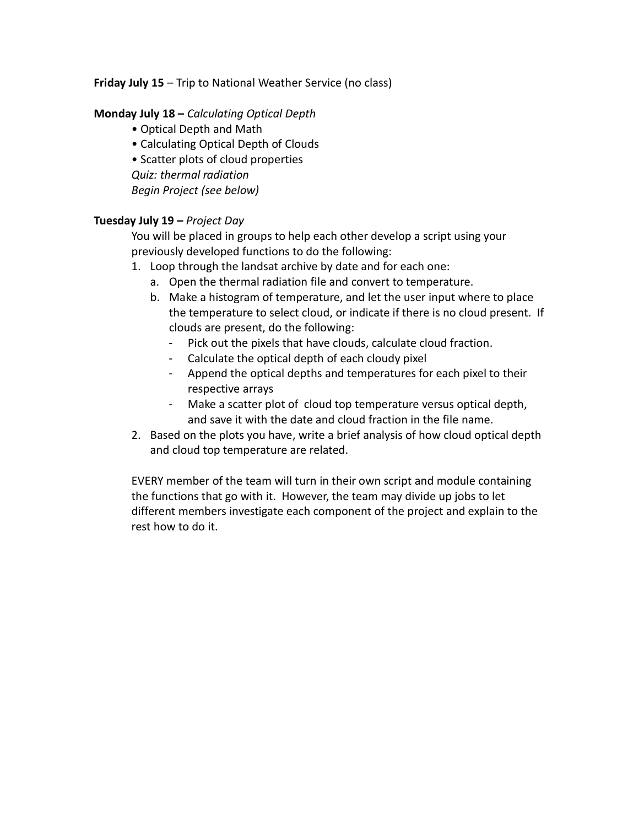# Friday July 15 – Trip to National Weather Service (no class)

## Monday July 18 – Calculating Optical Depth

- Optical Depth and Math
- Calculating Optical Depth of Clouds
- Scatter plots of cloud properties
- Quiz: thermal radiation

Begin Project (see below)

# Tuesday July 19 – Project Day

You will be placed in groups to help each other develop a script using your previously developed functions to do the following:

- 1. Loop through the landsat archive by date and for each one:
	- a. Open the thermal radiation file and convert to temperature.
	- b. Make a histogram of temperature, and let the user input where to place the temperature to select cloud, or indicate if there is no cloud present. If clouds are present, do the following:
		- Pick out the pixels that have clouds, calculate cloud fraction.
		- Calculate the optical depth of each cloudy pixel
		- Append the optical depths and temperatures for each pixel to their respective arrays
		- Make a scatter plot of cloud top temperature versus optical depth, and save it with the date and cloud fraction in the file name.
- 2. Based on the plots you have, write a brief analysis of how cloud optical depth and cloud top temperature are related.

EVERY member of the team will turn in their own script and module containing the functions that go with it. However, the team may divide up jobs to let different members investigate each component of the project and explain to the rest how to do it.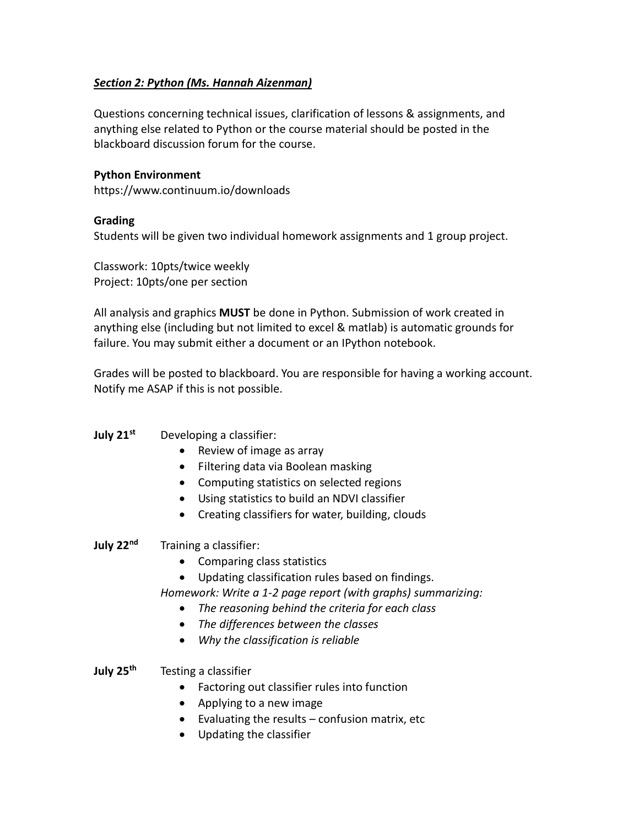# Section 2: Python (Ms. Hannah Aizenman)

Questions concerning technical issues, clarification of lessons & assignments, and anything else related to Python or the course material should be posted in the blackboard discussion forum for the course.

#### Python Environment

https://www.continuum.io/downloads

#### Grading

Students will be given two individual homework assignments and 1 group project.

Classwork: 10pts/twice weekly Project: 10pts/one per section

All analysis and graphics MUST be done in Python. Submission of work created in anything else (including but not limited to excel & matlab) is automatic grounds for failure. You may submit either a document or an IPython notebook.

Grades will be posted to blackboard. You are responsible for having a working account. Notify me ASAP if this is not possible.

### **July 21**<sup>st</sup> Developing a classifier:

- Review of image as array
- Filtering data via Boolean masking
- Computing statistics on selected regions
- Using statistics to build an NDVI classifier
- Creating classifiers for water, building, clouds

July 22<sup>nd</sup> Training a classifier:

- Comparing class statistics
- Updating classification rules based on findings.

Homework: Write a 1-2 page report (with graphs) summarizing:

- The reasoning behind the criteria for each class
- The differences between the classes
- Why the classification is reliable

July 25<sup>th</sup> Testing a classifier

- Factoring out classifier rules into function
- Applying to a new image
- Evaluating the results confusion matrix, etc
- Updating the classifier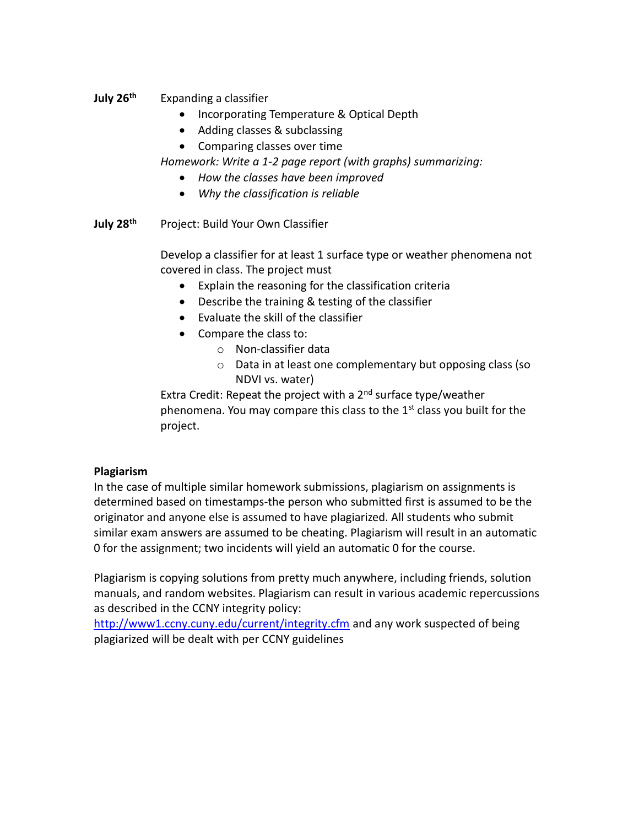- July 26<sup>th</sup> Expanding a classifier
	- Incorporating Temperature & Optical Depth
	- Adding classes & subclassing
	- Comparing classes over time

Homework: Write a 1-2 page report (with graphs) summarizing:

- How the classes have been improved
- Why the classification is reliable

July 28<sup>th</sup> Project: Build Your Own Classifier

Develop a classifier for at least 1 surface type or weather phenomena not covered in class. The project must

- Explain the reasoning for the classification criteria
- Describe the training & testing of the classifier
- Evaluate the skill of the classifier
- Compare the class to:
	- o Non-classifier data
	- o Data in at least one complementary but opposing class (so NDVI vs. water)

Extra Credit: Repeat the project with a  $2<sup>nd</sup>$  surface type/weather phenomena. You may compare this class to the  $1<sup>st</sup>$  class you built for the project.

### Plagiarism

In the case of multiple similar homework submissions, plagiarism on assignments is determined based on timestamps-the person who submitted first is assumed to be the originator and anyone else is assumed to have plagiarized. All students who submit similar exam answers are assumed to be cheating. Plagiarism will result in an automatic 0 for the assignment; two incidents will yield an automatic 0 for the course.

Plagiarism is copying solutions from pretty much anywhere, including friends, solution manuals, and random websites. Plagiarism can result in various academic repercussions as described in the CCNY integrity policy:

http://www1.ccny.cuny.edu/current/integrity.cfm and any work suspected of being plagiarized will be dealt with per CCNY guidelines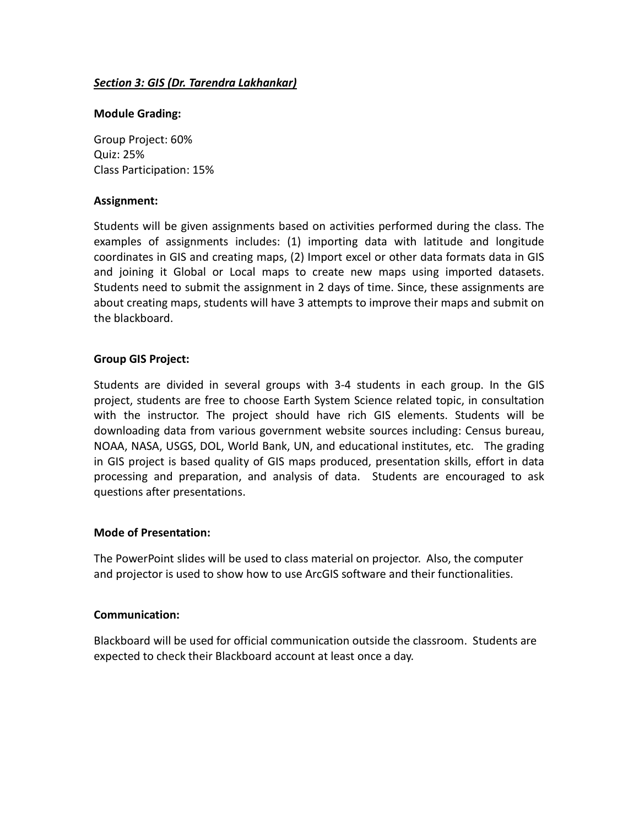# Section 3: GIS (Dr. Tarendra Lakhankar)

#### Module Grading:

Group Project: 60% Quiz: 25% Class Participation: 15%

#### Assignment:

Students will be given assignments based on activities performed during the class. The examples of assignments includes: (1) importing data with latitude and longitude coordinates in GIS and creating maps, (2) Import excel or other data formats data in GIS and joining it Global or Local maps to create new maps using imported datasets. Students need to submit the assignment in 2 days of time. Since, these assignments are about creating maps, students will have 3 attempts to improve their maps and submit on the blackboard.

### Group GIS Project:

Students are divided in several groups with 3-4 students in each group. In the GIS project, students are free to choose Earth System Science related topic, in consultation with the instructor. The project should have rich GIS elements. Students will be downloading data from various government website sources including: Census bureau, NOAA, NASA, USGS, DOL, World Bank, UN, and educational institutes, etc. The grading in GIS project is based quality of GIS maps produced, presentation skills, effort in data processing and preparation, and analysis of data. Students are encouraged to ask questions after presentations.

#### Mode of Presentation:

The PowerPoint slides will be used to class material on projector. Also, the computer and projector is used to show how to use ArcGIS software and their functionalities.

#### Communication:

Blackboard will be used for official communication outside the classroom. Students are expected to check their Blackboard account at least once a day.